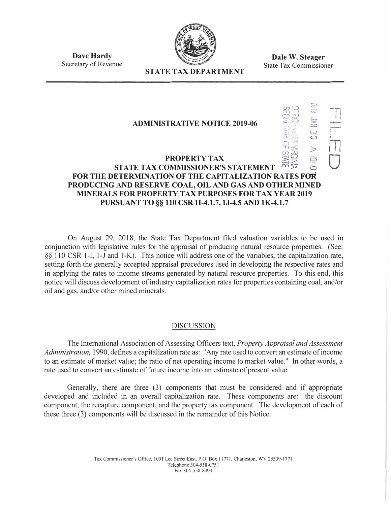

**Dale W. Steager**  State Tax Commissioner

")

..\_\_.

**Dave Hardy**  Secretary of Revenue

# **STATE TAX DEPARTMENT**

#### $\mathbf{r}_1$  ...  $\mathbf{r}_2$  $89$  $\mathbb{R}$ **ADMINISTRATIVE NOTICE 2019-06**  $-3.7<sub>1</sub>$ j. •. � *t,J*  **;** I  $\circ$  $\supset$ *en*   $T \times T$  $\mathbb{R}^n$  $\tilde{\cdot}$  $\mathcal{L}$ **PROPERTY TAX**<br>STATE TAX COMMISSIONER'S STATEMENT  $\overline{m} \leq 0$ **FOR THE DETERMINATION OF THE CAPITALIZATION RATES FOR PRODUCING AND RESERVE COAL, OIL AND GAS AND OTHER MINED MINERALS FOR PROPERTY TAX PURPOSES FOR TAX YEAR 2019 PURSUANT TO§§ 110 CSR 11-4.1.7, lJ-4.5 AND lK-4.1.7**

On August 29, 2018, the State Tax Department filed valuation variables to be used in conjunction with legislative rules for the appraisal of producing natural resource properties. (See: §§ 110 CSR 1-1, 1-J and 1-K). This notice will address one of the variables, the capitalization rate, setting forth the generally accepted appraisal procedures used in developing the respective rates and in applying the rates to income streams generated by natural resource properties. To this end, this notice will discuss development of industry capitalization rates for properties containing coal, and/or oil and gas, and/or other mined minerals.

# DISCUSSION

The International Association of Assessing Officers text, *Property Appraisal and Assessment Administration,* l 990, defines a capitalization rate as: "Any rate used to convert an estimate of income to an estimate of market value; the ratio of net operating income to market value." In other words, a rate used to convert an estimate of future income into an estimate of present value.

Generally, there are three (3) components that must be considered and if appropriate developed and included in an overall capitalization rate. These components are: the discount component, the recapture component, and the property tax component. The development of each of these three (3) components will be discussed in the remainder of this Notice.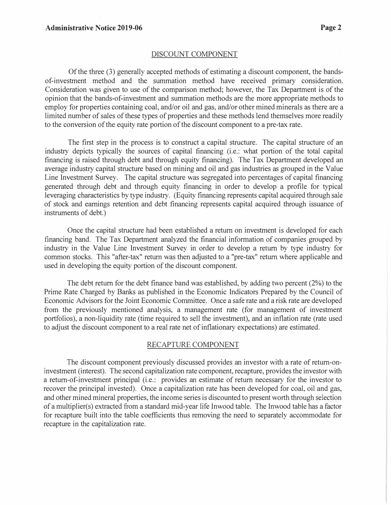#### DISCOUNT COMPONENT

Of the three (3) generally accepted methods of estimating a discount component, the bandsof-investment method and the summation method have received primary consideration. Consideration was given to use of the comparison method; however, the Tax Department is of the opinion that the bands-of-investment and summation methods are the more appropriate methods to employ for properties containing coal, and/or oil and gas, and/or other mined minerals as there are a limited number of sales of these types of properties and these methods lend themselves more readily to the conversion of the equity rate portion of the discount component to a pre-tax rate.

The first step in the process is to construct a capital structure. The capital structure of an industry depicts typically the sources of capital financing (i.e.: what portion of the total capital financing is raised through debt and through equity financing). The Tax Department developed an average industry capital structure based on mining and oil and gas industries as grouped in the Value Line Investment Survey. The capital structure was segregated into percentages of capital financing generated through debt and through equity financing in order to develop a profile for typical leveraging characteristics by type industry. (Equity financing represents capital acquired through sale of stock and earnings retention and debt financing represents capital acquired through issuance of instruments of debt.)

Once the capital structure had been established a return on investment is developed for each financing band. The Tax Department analyzed the financial information of companies grouped by industry in the Value Line Investment Survey in order to develop a return by type industry for common stocks. This "after-tax" return was then adjusted to a "pre-tax" return where applicable and used in developing the equity portion of the discount component.

The debt return for the debt finance band was established, by adding two percent (2%) to the Prime Rate Charged by Banks as published in the Economic Indicators Prepared by the Council of Economic Advisors for the Joint Economic Committee. Once a safe rate and a risk rate are developed from the previously mentioned analysis, a management rate (for management of investment portfolios), a non-liquidity rate (time required to sell the investment), and an inflation rate (rate used to adjust the discount component to a real rate net of inflationary expectations) are estimated.

### RECAPTURE COMPONENT

The discount component previously discussed provides an investor with a rate of return-oninvestment (interest). The second capitalization rate component, recapture, provides the investor with a return-of-investment principal (i.e.: provides an estimate of return necessary for the investor to recover the principal invested). Once a capitalization rate has been developed for coal, oil and gas, and other mined mineral properties, the income series is discounted to present worth through selection of a multiplier(s) extracted from a standard mid-year life Inwood table. The Inwood table has a factor for recapture built into the table coefficients thus removing the need to separately accommodate for recapture in the capitalization rate.